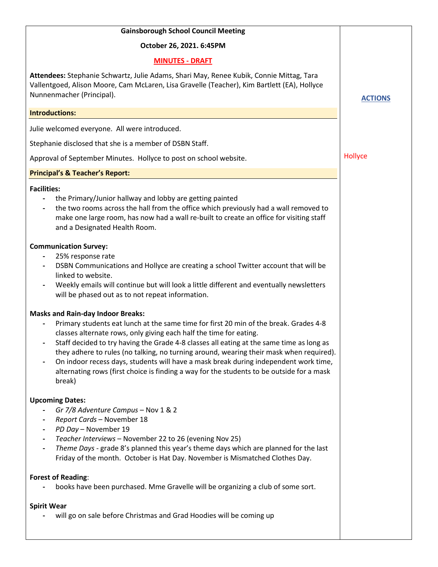| <b>Gainsborough School Council Meeting</b>                                                                                                                                                                                                                                                                                                                                                                                                                                                                                                                                                    |                |
|-----------------------------------------------------------------------------------------------------------------------------------------------------------------------------------------------------------------------------------------------------------------------------------------------------------------------------------------------------------------------------------------------------------------------------------------------------------------------------------------------------------------------------------------------------------------------------------------------|----------------|
| October 26, 2021. 6:45PM                                                                                                                                                                                                                                                                                                                                                                                                                                                                                                                                                                      |                |
| <b>MINUTES - DRAFT</b>                                                                                                                                                                                                                                                                                                                                                                                                                                                                                                                                                                        |                |
| Attendees: Stephanie Schwartz, Julie Adams, Shari May, Renee Kubik, Connie Mittag, Tara<br>Vallentgoed, Alison Moore, Cam McLaren, Lisa Gravelle (Teacher), Kim Bartlett (EA), Hollyce<br>Nunnenmacher (Principal).                                                                                                                                                                                                                                                                                                                                                                           | <b>ACTIONS</b> |
| <b>Introductions:</b>                                                                                                                                                                                                                                                                                                                                                                                                                                                                                                                                                                         |                |
| Julie welcomed everyone. All were introduced.                                                                                                                                                                                                                                                                                                                                                                                                                                                                                                                                                 |                |
| Stephanie disclosed that she is a member of DSBN Staff.                                                                                                                                                                                                                                                                                                                                                                                                                                                                                                                                       |                |
| Approval of September Minutes. Hollyce to post on school website.                                                                                                                                                                                                                                                                                                                                                                                                                                                                                                                             | Hollyce        |
| <b>Principal's &amp; Teacher's Report:</b>                                                                                                                                                                                                                                                                                                                                                                                                                                                                                                                                                    |                |
| <b>Facilities:</b><br>the Primary/Junior hallway and lobby are getting painted<br>the two rooms across the hall from the office which previously had a wall removed to<br>make one large room, has now had a wall re-built to create an office for visiting staff<br>and a Designated Health Room.                                                                                                                                                                                                                                                                                            |                |
| <b>Communication Survey:</b><br>25% response rate<br>DSBN Communications and Hollyce are creating a school Twitter account that will be<br>$\hbox{--}$<br>linked to website.<br>Weekly emails will continue but will look a little different and eventually newsletters<br>will be phased out as to not repeat information.                                                                                                                                                                                                                                                                   |                |
| <b>Masks and Rain-day Indoor Breaks:</b><br>Primary students eat lunch at the same time for first 20 min of the break. Grades 4-8<br>classes alternate rows, only giving each half the time for eating.<br>Staff decided to try having the Grade 4-8 classes all eating at the same time as long as<br>they adhere to rules (no talking, no turning around, wearing their mask when required).<br>On indoor recess days, students will have a mask break during independent work time,<br>alternating rows (first choice is finding a way for the students to be outside for a mask<br>break) |                |
| <b>Upcoming Dates:</b><br>Gr 7/8 Adventure Campus - Nov 1 & 2<br>Report Cards - November 18<br>PD Day - November 19<br>-<br>Teacher Interviews - November 22 to 26 (evening Nov 25)<br>$\overline{\phantom{a}}$<br>Theme Days - grade 8's planned this year's theme days which are planned for the last<br>Friday of the month. October is Hat Day. November is Mismatched Clothes Day.                                                                                                                                                                                                       |                |
| <b>Forest of Reading:</b><br>books have been purchased. Mme Gravelle will be organizing a club of some sort.                                                                                                                                                                                                                                                                                                                                                                                                                                                                                  |                |
| <b>Spirit Wear</b><br>will go on sale before Christmas and Grad Hoodies will be coming up                                                                                                                                                                                                                                                                                                                                                                                                                                                                                                     |                |